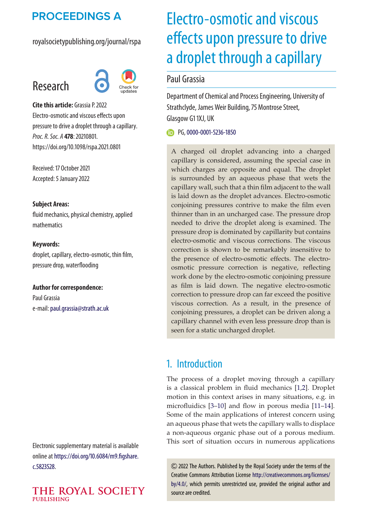## **PROCEEDINGS A**

royalsocietypublishing.org/journal/rspa

# Research



**Cite this article:** Grassia P. 2022 Electro-osmotic and viscous effects upon pressure to drive a droplet through a capillary. *Proc. R. Soc. A* **478**: 20210801. https://doi.org/10.1098/rspa.2021.0801

Received: 17 October 2021 Accepted: 5 January 2022

#### **Subject Areas:**

fluid mechanics, physical chemistry, applied mathematics

**Keywords:** droplet, capillary, electro-osmotic, thin film, pressure drop, waterflooding

**Author for correspondence:** Paul Grassia e-mail: [paul.grassia@strath.ac.uk](mailto:paul.grassia@strath.ac.uk)

Electronic supplementary material is available online at [https://doi.org/10.6084/m9.figshare.](https://doi.org/10.6084/m9.figshare.c.5823528) [c.5823528.](https://doi.org/10.6084/m9.figshare.c.5823528)

#### THE ROYAL SOCIETY **PUBLISHING**

# Electro-osmotic and viscous effects upon pressure to drive a droplet through a capillary

## Paul Grassia

Department of Chemical and Process Engineering, University of Strathclyde, James Weir Building, 75 Montrose Street, Glasgow G1 1XJ, UK

PG, [0000-0001-5236-1850](http://orcid.org/0000-0001-5236-1850)

A charged oil droplet advancing into a charged capillary is considered, assuming the special case in which charges are opposite and equal. The droplet is surrounded by an aqueous phase that wets the capillary wall, such that a thin film adjacent to the wall is laid down as the droplet advances. Electro-osmotic conjoining pressures contrive to make the film even thinner than in an uncharged case. The pressure drop needed to drive the droplet along is examined. The pressure drop is dominated by capillarity but contains electro-osmotic and viscous corrections. The viscous correction is shown to be remarkably insensitive to the presence of electro-osmotic effects. The electroosmotic pressure correction is negative, reflecting work done by the electro-osmotic conjoining pressure as film is laid down. The negative electro-osmotic correction to pressure drop can far exceed the positive viscous correction. As a result, in the presence of conjoining pressures, a droplet can be driven along a capillary channel with even less pressure drop than is seen for a static uncharged droplet.

## 1. Introduction

The process of a droplet moving through a capillary is a classical problem in fluid mechanics [\[1,](#page-17-0)[2\]](#page-17-1). Droplet motion in this context arises in many situations, e.g. in microfluidics [\[3–](#page-17-2)[10\]](#page-18-0) and flow in porous media [\[11](#page-18-1)[–14\]](#page-18-2). Some of the main applications of interest concern using an aqueous phase that wets the capillary walls to displace a non-aqueous organic phase out of a porous medium. This sort of situation occurs in numerous applications

2022 The Authors. Published by the Royal Society under the terms of the Creative Commons Attribution License [http://creativecommons.org/licenses/](http://creativecommons.org/licenses/by/4.0/) [by/4.0/,](http://creativecommons.org/licenses/by/4.0/) which permits unrestricted use, provided the original author and source are credited.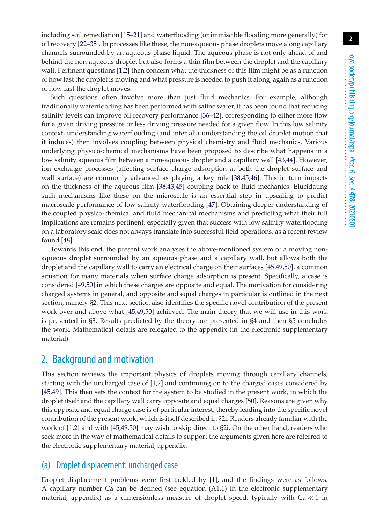including soil remediation [\[15](#page-18-3)[–21\]](#page-18-4) and waterflooding (or immiscible flooding more generally) for oil recovery [\[22](#page-18-5)[–35\]](#page-19-0). In processes like these, the non-aqueous phase droplets move along capillary channels surrounded by an aqueous phase liquid. The aqueous phase is not only ahead of and behind the non-aqueous droplet but also forms a thin film between the droplet and the capillary wall. Pertinent questions [\[1,](#page-17-0)[2\]](#page-17-1) then concern what the thickness of this film might be as a function of how fast the droplet is moving and what pressure is needed to push it along, again as a function of how fast the droplet moves.

Such questions often involve more than just fluid mechanics. For example, although traditionally waterflooding has been performed with saline water, it has been found that reducing salinity levels can improve oil recovery performance [\[36](#page-19-1)[–42\]](#page-19-2), corresponding to either more flow for a given driving pressure or less driving pressure needed for a given flow. In this low salinity context, understanding waterflooding (and inter alia understanding the oil droplet motion that it induces) then involves coupling between physical chemistry and fluid mechanics. Various underlying physico-chemical mechanisms have been proposed to describe what happens in a low salinity aqueous film between a non-aqueous droplet and a capillary wall [\[43,](#page-19-3)[44\]](#page-19-4). However, ion exchange processes (affecting surface charge adsorption at both the droplet surface and wall surface) are commonly advanced as playing a key role [\[38,](#page-19-5)[45,](#page-19-6)[46\]](#page-19-7). This in turn impacts on the thickness of the aqueous film [\[38,](#page-19-5)[43,](#page-19-3)[45\]](#page-19-6) coupling back to fluid mechanics. Elucidating such mechanisms like these on the microscale is an essential step in upscaling to predict macroscale performance of low salinity waterflooding [\[47\]](#page-19-8). Obtaining deeper understanding of the coupled physico-chemical and fluid mechanical mechanisms and predicting what their full implications are remains pertinent, especially given that success with low salinity waterflooding on a laboratory scale does not always translate into successful field operations, as a recent review found [\[48\]](#page-19-9).

Towards this end, the present work analyses the above-mentioned system of a moving nonaqueous droplet surrounded by an aqueous phase and a capillary wall, but allows both the droplet and the capillary wall to carry an electrical charge on their surfaces [\[45,](#page-19-6)[49,](#page-19-10)[50\]](#page-19-11), a common situation for many materials when surface charge adsorption is present. Specifically, a case is considered [\[49](#page-19-10)[,50\]](#page-19-11) in which these charges are opposite and equal. The motivation for considering charged systems in general, and opposite and equal charges in particular is outlined in the next section, namely §2. This next section also identifies the specific novel contribution of the present work over and above what [\[45,](#page-19-6)[49,](#page-19-10)[50\]](#page-19-11) achieved. The main theory that we will use in this work is presented in §3. Results predicted by the theory are presented in §4 and then §5 concludes the work. Mathematical details are relegated to the appendix (in the electronic supplementary material).

## 2. Background and motivation

This section reviews the important physics of droplets moving through capillary channels, starting with the uncharged case of [\[1,](#page-17-0)[2\]](#page-17-1) and continuing on to the charged cases considered by [\[45](#page-19-6)[,49\]](#page-19-10). This then sets the context for the system to be studied in the present work, in which the droplet itself and the capillary wall carry opposite and equal charges [\[50\]](#page-19-11). Reasons are given why this opposite and equal charge case is of particular interest, thereby leading into the specific novel contribution of the present work, which is itself described in §2i. Readers already familiar with the work of [\[1,](#page-17-0)[2\]](#page-17-1) and with [\[45](#page-19-6)[,49,](#page-19-10)[50\]](#page-19-11) may wish to skip direct to §2i. On the other hand, readers who seek more in the way of mathematical details to support the arguments given here are referred to the electronic supplementary material, appendix.

## (a) Droplet displacement: uncharged case

Droplet displacement problems were first tackled by [\[1\]](#page-17-0), and the findings were as follows. A capillary number Ca can be defined (see equation (A1.1) in the electronic supplementary material, appendix) as a dimensionless measure of droplet speed, typically with  $\text{Ca}\!\ll\! 1$  in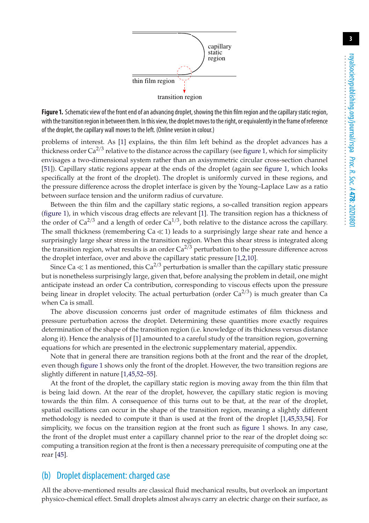<span id="page-2-0"></span>

Figure 1. Schematic view of the front end of an advancing droplet, showing the thin film region and the capillary static region, with the transition region in between them. In this view, the droplet moves to the right, or equivalently in the frame of reference of the droplet, the capillary wall moves to the left. (Online version in colour.)

problems of interest. As [\[1\]](#page-17-0) explains, the thin film left behind as the droplet advances has a thickness order  $Ca^{2/3}$  relative to the distance across the capillary (see [figure 1,](#page-2-0) which for simplicity envisages a two-dimensional system rather than an axisymmetric circular cross-section channel [\[51\]](#page-20-0)). Capillary static regions appear at the ends of the droplet (again see [figure 1,](#page-2-0) which looks specifically at the front of the droplet). The droplet is uniformly curved in these regions, and the pressure difference across the droplet interface is given by the Young–Laplace Law as a ratio between surface tension and the uniform radius of curvature.

Between the thin film and the capillary static regions, a so-called transition region appears [\(figure 1\)](#page-2-0), in which viscous drag effects are relevant [\[1\]](#page-17-0). The transition region has a thickness of the order of Ca<sup>2/3</sup> and a length of order  $Ca^{1/3}$ , both relative to the distance across the capillary. The small thickness (remembering Ca  $\ll$  1) leads to a surprisingly large shear rate and hence a surprisingly large shear stress in the transition region. When this shear stress is integrated along the transition region, what results is an order  $Ca^{2/3}$  perturbation to the pressure difference across the droplet interface, over and above the capillary static pressure [\[1,](#page-17-0)[2](#page-17-1)[,10\]](#page-18-0).

Since Ca  $\ll$  1 as mentioned, this Ca<sup>2/3</sup> perturbation is smaller than the capillary static pressure but is nonetheless surprisingly large, given that, before analysing the problem in detail, one might anticipate instead an order Ca contribution, corresponding to viscous effects upon the pressure being linear in droplet velocity. The actual perturbation (order  $Ca^{2/3}$ ) is much greater than Ca when Ca is small.

The above discussion concerns just order of magnitude estimates of film thickness and pressure perturbation across the droplet. Determining these quantities more exactly requires determination of the shape of the transition region (i.e. knowledge of its thickness versus distance along it). Hence the analysis of [\[1\]](#page-17-0) amounted to a careful study of the transition region, governing equations for which are presented in the electronic supplementary material, appendix.

Note that in general there are transition regions both at the front and the rear of the droplet, even though [figure 1](#page-2-0) shows only the front of the droplet. However, the two transition regions are slightly different in nature [\[1,](#page-17-0)[45](#page-19-6)[,52–](#page-20-1)[55\]](#page-20-2).

At the front of the droplet, the capillary static region is moving away from the thin film that is being laid down. At the rear of the droplet, however, the capillary static region is moving towards the thin film. A consequence of this turns out to be that, at the rear of the droplet, spatial oscillations can occur in the shape of the transition region, meaning a slightly different methodology is needed to compute it than is used at the front of the droplet [\[1,](#page-17-0)[45,](#page-19-6)[53](#page-20-3)[,54\]](#page-20-4). For simplicity, we focus on the transition region at the front such as [figure 1](#page-2-0) shows. In any case, the front of the droplet must enter a capillary channel prior to the rear of the droplet doing so: computing a transition region at the front is then a necessary prerequisite of computing one at the rear [\[45\]](#page-19-6).

#### (b) Droplet displacement: charged case

All the above-mentioned results are classical fluid mechanical results, but overlook an important physico-chemical effect. Small droplets almost always carry an electric charge on their surface, as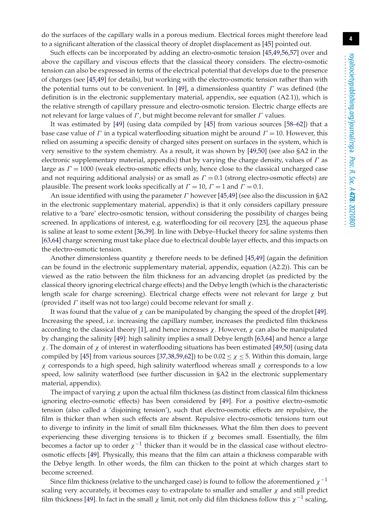do the surfaces of the capillary walls in a porous medium. Electrical forces might therefore lead to a significant alteration of the classical theory of droplet displacement as [\[45\]](#page-19-6) pointed out.

Such effects can be incorporated by adding an electro-osmotic tension [\[45](#page-19-6)[,49,](#page-19-10)[56](#page-20-5)[,57\]](#page-20-6) over and above the capillary and viscous effects that the classical theory considers. The electro-osmotic tension can also be expressed in terms of the electrical potential that develops due to the presence of charges (see [\[45](#page-19-6)[,49\]](#page-19-10) for details), but working with the electro-osmotic tension rather than with the potential turns out to be convenient. In [\[49\]](#page-19-10), a dimensionless quantity  $\Gamma$  was defined (the definition is in the electronic supplementary material, appendix, see equation (A2.1)), which is the relative strength of capillary pressure and electro-osmotic tension. Electric charge effects are not relevant for large values of  $\Gamma$ , but might become relevant for smaller  $\Gamma$  values.

It was estimated by [\[49\]](#page-19-10) (using data compiled by [\[45\]](#page-19-6) from various sources [\[58](#page-20-7)[–62\]](#page-20-8)) that a base case value of Γ in a typical waterflooding situation might be around  $\Gamma = 10$ . However, this relied on assuming a specific density of charged sites present on surfaces in the system, which is very sensitive to the system chemistry. As a result, it was shown by [\[49,](#page-19-10)[50\]](#page-19-11) (see also §A2 in the electronic supplementary material, appendix) that by varying the charge density, values of  $\Gamma$  as large as  $\Gamma = 1000$  (weak electro-osmotic effects only, hence close to the classical uncharged case and not requiring additional analysis) or as small as  $\Gamma = 0.1$  (strong electro-osmotic effects) are plausible. The present work looks specifically at  $\Gamma = 10$ ,  $\Gamma = 1$  and  $\Gamma = 0.1$ .

An issue identified with using the parameter  $\Gamma$  however [\[45,](#page-19-6)[49\]](#page-19-10) (see also the discussion in §A2 in the electronic supplementary material, appendix) is that it only considers capillary pressure relative to a 'bare' electro-osmotic tension, without considering the possibility of charges being screened. In applications of interest, e.g. waterflooding for oil recovery [\[23\]](#page-18-6), the aqueous phase is saline at least to some extent [\[36,](#page-19-1)[39\]](#page-19-12). In line with Debye–Huckel theory for saline systems then [\[63](#page-20-9)[,64\]](#page-20-10) charge screening must take place due to electrical double layer effects, and this impacts on the electro-osmotic tension.

Another dimensionless quantity  $\chi$  therefore needs to be defined [\[45,](#page-19-6)[49\]](#page-19-10) (again the definition can be found in the electronic supplementary material, appendix, equation (A2.2)). This can be viewed as the ratio between the film thickness for an advancing droplet (as predicted by the classical theory ignoring electrical charge effects) and the Debye length (which is the characteristic length scale for charge screening). Electrical charge effects were not relevant for large  $\chi$  but (provided  $\Gamma$  itself was not too large) could become relevant for small  $\chi$ .

It was found that the value of  $\chi$  can be manipulated by changing the speed of the droplet [\[49\]](#page-19-10). Increasing the speed, i.e. increasing the capillary number, increases the predicted film thickness according to the classical theory [\[1\]](#page-17-0), and hence increases  $\chi$ . However,  $\chi$  can also be manipulated by changing the salinity [\[49\]](#page-19-10): high salinity implies a small Debye length [\[63,](#page-20-9)[64\]](#page-20-10) and hence a large χ. The domain of χ of interest in waterflooding situations has been estimated [\[49](#page-19-10)[,50\]](#page-19-11) (using data compiled by [\[45\]](#page-19-6) from various sources [\[37](#page-19-13)[,38](#page-19-5)[,59](#page-20-11)[,62\]](#page-20-8)) to be  $0.02 \le \chi \le 5$ . Within this domain, large χ corresponds to a high speed, high salinity waterflood whereas small χ corresponds to a low speed, low salinity waterflood (see further discussion in §A2 in the electronic supplementary material, appendix).

The impact of varying  $\chi$  upon the actual film thickness (as distinct from classical film thickness ignoring electro-osmotic effects) has been considered by [\[49\]](#page-19-10). For a positive electro-osmotic tension (also called a 'disjoining tension'), such that electro-osmotic effects are repulsive, the film is thicker than when such effects are absent. Repulsive electro-osmotic tensions turn out to diverge to infinity in the limit of small film thicknesses. What the film then does to prevent experiencing these diverging tensions is to thicken if  $\chi$  becomes small. Essentially, the film becomes a factor up to order  $\chi^{-1}$  thicker than it would be in the classical case without electroosmotic effects [\[49\]](#page-19-10). Physically, this means that the film can attain a thickness comparable with the Debye length. In other words, the film can thicken to the point at which charges start to become screened.

Since film thickness (relative to the uncharged case) is found to follow the aforementioned  $\chi^{-1}$ scaling very accurately, it becomes easy to extrapolate to smaller and smaller  $\chi$  and still predict film thickness [\[49\]](#page-19-10). In fact in the small  $\chi$  limit, not only did film thickness follow this  $\chi^{-1}$  scaling,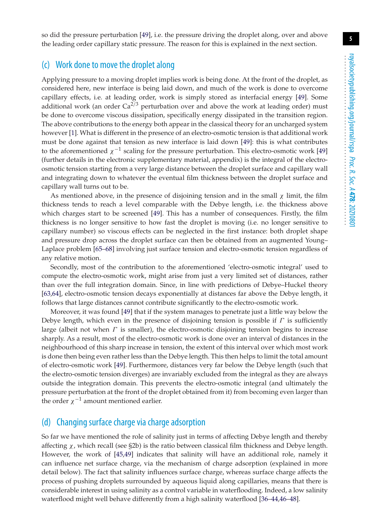so did the pressure perturbation [\[49\]](#page-19-10), i.e. the pressure driving the droplet along, over and above the leading order capillary static pressure. The reason for this is explained in the next section.

## (c) Work done to move the droplet along

Applying pressure to a moving droplet implies work is being done. At the front of the droplet, as considered here, new interface is being laid down, and much of the work is done to overcome capillary effects, i.e. at leading order, work is simply stored as interfacial energy [\[49\]](#page-19-10). Some additional work (an order  $Ca^{2/3}$  perturbation over and above the work at leading order) must be done to overcome viscous dissipation, specifically energy dissipated in the transition region. The above contributions to the energy both appear in the classical theory for an uncharged system however [\[1\]](#page-17-0). What is different in the presence of an electro-osmotic tension is that additional work must be done against that tension as new interface is laid down [\[49\]](#page-19-10): this is what contributes to the aforementioned  $\chi^{-1}$  scaling for the pressure perturbation. This electro-osmotic work [\[49\]](#page-19-10) (further details in the electronic supplementary material, appendix) is the integral of the electroosmotic tension starting from a very large distance between the droplet surface and capillary wall and integrating down to whatever the eventual film thickness between the droplet surface and capillary wall turns out to be.

As mentioned above, in the presence of disjoining tension and in the small  $\chi$  limit, the film thickness tends to reach a level comparable with the Debye length, i.e. the thickness above which charges start to be screened [\[49\]](#page-19-10). This has a number of consequences. Firstly, the film thickness is no longer sensitive to how fast the droplet is moving (i.e. no longer sensitive to capillary number) so viscous effects can be neglected in the first instance: both droplet shape and pressure drop across the droplet surface can then be obtained from an augmented Young– Laplace problem [\[65–](#page-20-12)[68\]](#page-20-13) involving just surface tension and electro-osmotic tension regardless of any relative motion.

Secondly, most of the contribution to the aforementioned 'electro-osmotic integral' used to compute the electro-osmotic work, might arise from just a very limited set of distances, rather than over the full integration domain. Since, in line with predictions of Debye–Huckel theory [\[63](#page-20-9)[,64\]](#page-20-10), electro-osmotic tension decays exponentially at distances far above the Debye length, it follows that large distances cannot contribute significantly to the electro-osmotic work.

Moreover, it was found [\[49\]](#page-19-10) that if the system manages to penetrate just a little way below the Debye length, which even in the presence of disjoining tension is possible if  $\Gamma$  is sufficiently large (albeit not when  $\Gamma$  is smaller), the electro-osmotic disjoining tension begins to increase sharply. As a result, most of the electro-osmotic work is done over an interval of distances in the neighbourhood of this sharp increase in tension, the extent of this interval over which most work is done then being even rather less than the Debye length. This then helps to limit the total amount of electro-osmotic work [\[49\]](#page-19-10). Furthermore, distances very far below the Debye length (such that the electro-osmotic tension diverges) are invariably excluded from the integral as they are always outside the integration domain. This prevents the electro-osmotic integral (and ultimately the pressure perturbation at the front of the droplet obtained from it) from becoming even larger than the order  $\chi^{-1}$  amount mentioned earlier.

#### (d) Changing surface charge via charge adsorption

So far we have mentioned the role of salinity just in terms of affecting Debye length and thereby affecting  $\chi$ , which recall (see §2b) is the ratio between classical film thickness and Debye length. However, the work of [\[45](#page-19-6)[,49\]](#page-19-10) indicates that salinity will have an additional role, namely it can influence net surface charge, via the mechanism of charge adsorption (explained in more detail below). The fact that salinity influences surface charge, whereas surface charge affects the process of pushing droplets surrounded by aqueous liquid along capillaries, means that there is considerable interest in using salinity as a control variable in waterflooding. Indeed, a low salinity waterflood might well behave differently from a high salinity waterflood [\[36](#page-19-1)[–44,](#page-19-4)[46](#page-19-7)[–48\]](#page-19-9).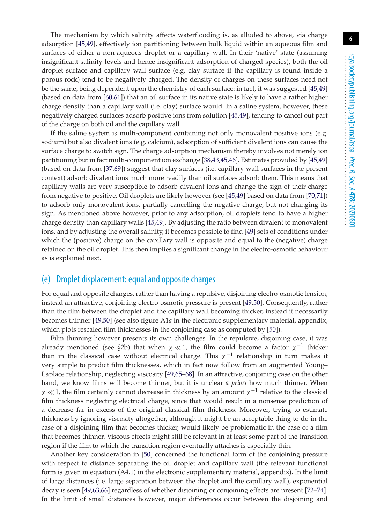The mechanism by which salinity affects waterflooding is, as alluded to above, via charge adsorption [\[45,](#page-19-6)[49\]](#page-19-10), effectively ion partitioning between bulk liquid within an aqueous film and surfaces of either a non-aqueous droplet or a capillary wall. In their 'native' state (assuming insignificant salinity levels and hence insignificant adsorption of charged species), both the oil droplet surface and capillary wall surface (e.g. clay surface if the capillary is found inside a porous rock) tend to be negatively charged. The density of charges on these surfaces need not be the same, being dependent upon the chemistry of each surface: in fact, it was suggested [\[45](#page-19-6)[,49\]](#page-19-10) (based on data from [\[60](#page-20-14)[,61\]](#page-20-15)) that an oil surface in its native state is likely to have a rather higher charge density than a capillary wall (i.e. clay) surface would. In a saline system, however, these negatively charged surfaces adsorb positive ions from solution [\[45](#page-19-6)[,49\]](#page-19-10), tending to cancel out part of the charge on both oil and the capillary wall.

If the saline system is multi-component containing not only monovalent positive ions (e.g. sodium) but also divalent ions (e.g. calcium), adsorption of sufficient divalent ions can cause the surface charge to switch sign. The charge adsorption mechanism thereby involves not merely ion partitioning but in fact multi-component ion exchange [\[38,](#page-19-5)[43,](#page-19-3)[45](#page-19-6)[,46\]](#page-19-7). Estimates provided by [\[45](#page-19-6)[,49\]](#page-19-10) (based on data from [\[37](#page-19-13)[,69\]](#page-20-16)) suggest that clay surfaces (i.e. capillary wall surfaces in the present context) adsorb divalent ions much more readily than oil surfaces adsorb them. This means that capillary walls are very susceptible to adsorb divalent ions and change the sign of their charge from negative to positive. Oil droplets are likely however (see [\[45](#page-19-6)[,49\]](#page-19-10) based on data from [\[70](#page-20-17)[,71\]](#page-20-18)) to adsorb only monovalent ions, partially cancelling the negative charge, but not changing its sign. As mentioned above however, prior to any adsorption, oil droplets tend to have a higher charge density than capillary walls [\[45](#page-19-6)[,49\]](#page-19-10). By adjusting the ratio between divalent to monovalent ions, and by adjusting the overall salinity, it becomes possible to find [\[49\]](#page-19-10) sets of conditions under which the (positive) charge on the capillary wall is opposite and equal to the (negative) charge retained on the oil droplet. This then implies a significant change in the electro-osmotic behaviour as is explained next.

#### (e) Droplet displacement: equal and opposite charges

For equal and opposite charges, rather than having a repulsive, disjoining electro-osmotic tension, instead an attractive, conjoining electro-osmotic pressure is present [\[49,](#page-19-10)[50\]](#page-19-11). Consequently, rather than the film between the droplet and the capillary wall becoming thicker, instead it necessarily becomes thinner [\[49,](#page-19-10)[50\]](#page-19-11) (see also figure A1*a* in the electronic supplementary material, appendix, which plots rescaled film thicknesses in the conjoining case as computed by [\[50\]](#page-19-11)).

Film thinning however presents its own challenges. In the repulsive, disjoining case, it was already mentioned (see §2b) that when  $\chi \ll 1$ , the film could become a factor  $\chi^{-1}$  thicker than in the classical case without electrical charge. This  $\chi^{-1}$  relationship in turn makes it very simple to predict film thicknesses, which in fact now follow from an augmented Young– Laplace relationship, neglecting viscosity [\[49](#page-19-10)[,65](#page-20-12)[–68\]](#page-20-13). In an attractive, conjoining case on the other hand, we know films will become thinner, but it is unclear *a priori* how much thinner. When  $\chi \ll 1$ , the film certainly cannot decrease in thickness by an amount  $\chi^{-1}$  relative to the classical film thickness neglecting electrical charge, since that would result in a nonsense prediction of a decrease far in excess of the original classical film thickness. Moreover, trying to estimate thickness by ignoring viscosity altogether, although it might be an acceptable thing to do in the case of a disjoining film that becomes thicker, would likely be problematic in the case of a film that becomes thinner. Viscous effects might still be relevant in at least some part of the transition region if the film to which the transition region eventually attaches is especially thin.

Another key consideration in [\[50\]](#page-19-11) concerned the functional form of the conjoining pressure with respect to distance separating the oil droplet and capillary wall (the relevant functional form is given in equation (A4.1) in the electronic supplementary material, appendix). In the limit of large distances (i.e. large separation between the droplet and the capillary wall), exponential decay is seen [\[49,](#page-19-10)[63,](#page-20-9)[66\]](#page-20-19) regardless of whether disjoining or conjoining effects are present [\[72–](#page-20-20)[74\]](#page-20-21). In the limit of small distances however, major differences occur between the disjoining and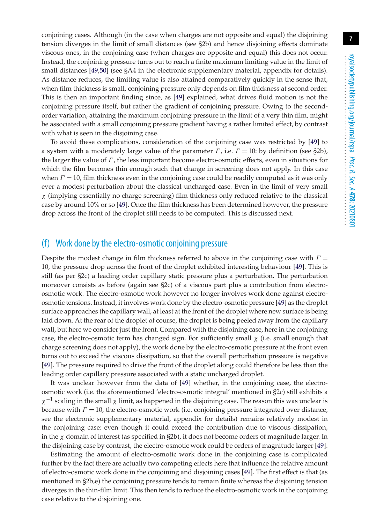conjoining cases. Although (in the case when charges are not opposite and equal) the disjoining tension diverges in the limit of small distances (see §2b) and hence disjoining effects dominate viscous ones, in the conjoining case (when charges are opposite and equal) this does not occur. Instead, the conjoining pressure turns out to reach a finite maximum limiting value in the limit of small distances [\[49](#page-19-10)[,50\]](#page-19-11) (see §A4 in the electronic supplementary material, appendix for details). As distance reduces, the limiting value is also attained comparatively quickly in the sense that, when film thickness is small, conjoining pressure only depends on film thickness at second order. This is then an important finding since, as [\[49\]](#page-19-10) explained, what drives fluid motion is not the conjoining pressure itself, but rather the gradient of conjoining pressure. Owing to the secondorder variation, attaining the maximum conjoining pressure in the limit of a very thin film, might be associated with a small conjoining pressure gradient having a rather limited effect, by contrast with what is seen in the disjoining case.

To avoid these complications, consideration of the conjoining case was restricted by [\[49\]](#page-19-10) to a system with a moderately large value of the parameter  $\Gamma$ , i.e.  $\Gamma = 10$ : by definition (see §2b), the larger the value of  $\Gamma$ , the less important become electro-osmotic effects, even in situations for which the film becomes thin enough such that change in screening does not apply. In this case when  $\Gamma = 10$ , film thickness even in the conjoining case could be readily computed as it was only ever a modest perturbation about the classical uncharged case. Even in the limit of very small  $\chi$  (implying essentially no charge screening) film thickness only reduced relative to the classical case by around 10% or so [\[49\]](#page-19-10). Once the film thickness has been determined however, the pressure drop across the front of the droplet still needs to be computed. This is discussed next.

#### (f) Work done by the electro-osmotic conjoining pressure

Despite the modest change in film thickness referred to above in the conjoining case with  $\Gamma =$ 10, the pressure drop across the front of the droplet exhibited interesting behaviour [\[49\]](#page-19-10). This is still (as per §2c) a leading order capillary static pressure plus a perturbation. The perturbation moreover consists as before (again see §2c) of a viscous part plus a contribution from electroosmotic work. The electro-osmotic work however no longer involves work done against electroosmotic tensions. Instead, it involves work done by the electro-osmotic pressure [\[49\]](#page-19-10) as the droplet surface approaches the capillary wall, at least at the front of the droplet where new surface is being laid down. At the rear of the droplet of course, the droplet is being peeled away from the capillary wall, but here we consider just the front. Compared with the disjoining case, here in the conjoining case, the electro-osmotic term has changed sign. For sufficiently small  $\chi$  (i.e. small enough that charge screening does not apply), the work done by the electro-osmotic pressure at the front even turns out to exceed the viscous dissipation, so that the overall perturbation pressure is negative [\[49\]](#page-19-10). The pressure required to drive the front of the droplet along could therefore be less than the leading order capillary pressure associated with a static uncharged droplet.

It was unclear however from the data of [\[49\]](#page-19-10) whether, in the conjoining case, the electroosmotic work (i.e. the aforementioned 'electro-osmotic integral' mentioned in §2c) still exhibits a  $\chi^{-1}$  scaling in the small  $\chi$  limit, as happened in the disjoining case. The reason this was unclear is because with  $\Gamma = 10$ , the electro-osmotic work (i.e. conjoining pressure integrated over distance, see the electronic supplementary material, appendix for details) remains relatively modest in the conjoining case: even though it could exceed the contribution due to viscous dissipation, in the  $\chi$  domain of interest (as specified in §2b), it does not become orders of magnitude larger. In the disjoining case by contrast, the electro-osmotic work could be orders of magnitude larger [\[49\]](#page-19-10).

Estimating the amount of electro-osmotic work done in the conjoining case is complicated further by the fact there are actually two competing effects here that influence the relative amount of electro-osmotic work done in the conjoining and disjoining cases [\[49\]](#page-19-10). The first effect is that (as mentioned in §2b,e) the conjoining pressure tends to remain finite whereas the disjoining tension diverges in the thin-film limit. This then tends to reduce the electro-osmotic work in the conjoining case relative to the disjoining one.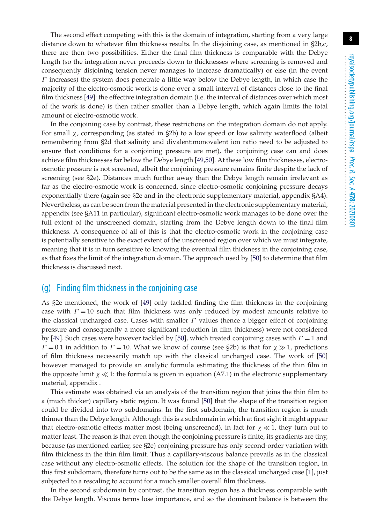The second effect competing with this is the domain of integration, starting from a very large distance down to whatever film thickness results. In the disjoining case, as mentioned in §2b,c, there are then two possibilities. Either the final film thickness is comparable with the Debye length (so the integration never proceeds down to thicknesses where screening is removed and consequently disjoining tension never manages to increase dramatically) or else (in the event  $\Gamma$  increases) the system does penetrate a little way below the Debye length, in which case the majority of the electro-osmotic work is done over a small interval of distances close to the final film thickness [\[49\]](#page-19-10): the effective integration domain (i.e. the interval of distances over which most of the work is done) is then rather smaller than a Debye length, which again limits the total amount of electro-osmotic work.

In the conjoining case by contrast, these restrictions on the integration domain do not apply. For small  $\chi$ , corresponding (as stated in §2b) to a low speed or low salinity waterflood (albeit remembering from §2d that salinity and divalent:monovalent ion ratio need to be adjusted to ensure that conditions for a conjoining pressure are met), the conjoining case can and does achieve film thicknesses far below the Debye length [\[49](#page-19-10)[,50\]](#page-19-11). At these low film thicknesses, electroosmotic pressure is not screened, albeit the conjoining pressure remains finite despite the lack of screening (see §2e). Distances much further away than the Debye length remain irrelevant as far as the electro-osmotic work is concerned, since electro-osmotic conjoining pressure decays exponentially there (again see §2e and in the electronic supplementary material, appendix §A4). Nevertheless, as can be seen from the material presented in the electronic supplementary material, appendix (see §A11 in particular), significant electro-osmotic work manages to be done over the full extent of the unscreened domain, starting from the Debye length down to the final film thickness. A consequence of all of this is that the electro-osmotic work in the conjoining case is potentially sensitive to the exact extent of the unscreened region over which we must integrate, meaning that it is in turn sensitive to knowing the eventual film thickness in the conjoining case, as that fixes the limit of the integration domain. The approach used by [\[50\]](#page-19-11) to determine that film thickness is discussed next.

#### (g) Finding film thickness in the conjoining case

As §2e mentioned, the work of [\[49\]](#page-19-10) only tackled finding the film thickness in the conjoining case with  $\Gamma = 10$  such that film thickness was only reduced by modest amounts relative to the classical uncharged case. Cases with smaller  $\Gamma$  values (hence a bigger effect of conjoining pressure and consequently a more significant reduction in film thickness) were not considered by [\[49\]](#page-19-10). Such cases were however tackled by [\[50\]](#page-19-11), which treated conjoining cases with  $\Gamma = 1$  and  $\Gamma = 0.1$  in addition to  $\Gamma = 10$ . What we know of course (see §2b) is that for  $\chi \gg 1$ , predictions of film thickness necessarily match up with the classical uncharged case. The work of [\[50\]](#page-19-11) however managed to provide an analytic formula estimating the thickness of the thin film in the opposite limit  $\chi \ll 1$ : the formula is given in equation (A7.1) in the electronic supplementary material, appendix .

This estimate was obtained via an analysis of the transition region that joins the thin film to a (much thicker) capillary static region. It was found [\[50\]](#page-19-11) that the shape of the transition region could be divided into two subdomains. In the first subdomain, the transition region is much thinner than the Debye length. Although this is a subdomain in which at first sight it might appear that electro-osmotic effects matter most (being unscreened), in fact for  $\chi \ll 1$ , they turn out to matter least. The reason is that even though the conjoining pressure is finite, its gradients are tiny, because (as mentioned earlier, see §2e) conjoining pressure has only second-order variation with film thickness in the thin film limit. Thus a capillary-viscous balance prevails as in the classical case without any electro-osmotic effects. The solution for the shape of the transition region, in this first subdomain, therefore turns out to be the same as in the classical uncharged case [\[1\]](#page-17-0), just subjected to a rescaling to account for a much smaller overall film thickness.

In the second subdomain by contrast, the transition region has a thickness comparable with the Debye length. Viscous terms lose importance, and so the dominant balance is between the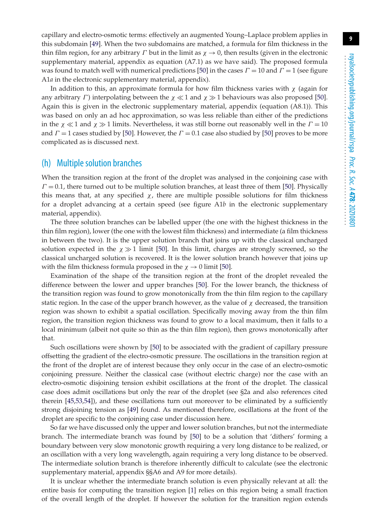capillary and electro-osmotic terms: effectively an augmented Young–Laplace problem applies in this subdomain [\[49\]](#page-19-10). When the two subdomains are matched, a formula for film thickness in the thin film region, for any arbitrary  $\Gamma$  but in the limit as  $\chi \to 0$ , then results (given in the electronic supplementary material, appendix as equation (A7.1) as we have said). The proposed formula was found to match well with numerical predictions [\[50\]](#page-19-11) in the cases  $\Gamma = 10$  and  $\Gamma = 1$  (see figure A1*a* in the electronic supplementary material, appendix).

In addition to this, an approximate formula for how film thickness varies with  $\chi$  (again for any arbitrary  $\varGamma$ ) interpolating between the  $\chi \ll 1$  and  $\chi \gg 1$  behaviours was also proposed [\[50\]](#page-19-11). Again this is given in the electronic supplementary material, appendix (equation (A8.1)). This was based on only an ad hoc approximation, so was less reliable than either of the predictions in the  $\chi \ll 1$  and  $\chi \gg 1$  limits. Nevertheless, it was still borne out reasonably well in the  $\Gamma = 10$ and  $\Gamma = 1$  cases studied by [\[50\]](#page-19-11). However, the  $\Gamma = 0.1$  case also studied by [50] proves to be more complicated as is discussed next.

#### (h) Multiple solution branches

When the transition region at the front of the droplet was analysed in the conjoining case with  $\Gamma = 0.1$ , there turned out to be multiple solution branches, at least three of them [\[50\]](#page-19-11). Physically this means that, at any specified  $\chi$ , there are multiple possible solutions for film thickness for a droplet advancing at a certain speed (see figure A1*b* in the electronic supplementary material, appendix).

The three solution branches can be labelled upper (the one with the highest thickness in the thin film region), lower (the one with the lowest film thickness) and intermediate (a film thickness in between the two). It is the upper solution branch that joins up with the classical uncharged solution expected in the  $\chi \gg 1$  limit [\[50\]](#page-19-11). In this limit, charges are strongly screened, so the classical uncharged solution is recovered. It is the lower solution branch however that joins up with the film thickness formula proposed in the  $\chi \rightarrow 0$  limit [\[50\]](#page-19-11).

Examination of the shape of the transition region at the front of the droplet revealed the difference between the lower and upper branches [\[50\]](#page-19-11). For the lower branch, the thickness of the transition region was found to grow monotonically from the thin film region to the capillary static region. In the case of the upper branch however, as the value of  $\chi$  decreased, the transition region was shown to exhibit a spatial oscillation. Specifically moving away from the thin film region, the transition region thickness was found to grow to a local maximum, then it falls to a local minimum (albeit not quite so thin as the thin film region), then grows monotonically after that.

Such oscillations were shown by [\[50\]](#page-19-11) to be associated with the gradient of capillary pressure offsetting the gradient of the electro-osmotic pressure. The oscillations in the transition region at the front of the droplet are of interest because they only occur in the case of an electro-osmotic conjoining pressure. Neither the classical case (without electric charge) nor the case with an electro-osmotic disjoining tension exhibit oscillations at the front of the droplet. The classical case does admit oscillations but only the rear of the droplet (see §2a and also references cited therein [\[45](#page-19-6)[,53](#page-20-3)[,54\]](#page-20-4)), and these oscillations turn out moreover to be eliminated by a sufficiently strong disjoining tension as [\[49\]](#page-19-10) found. As mentioned therefore, oscillations at the front of the droplet are specific to the conjoining case under discussion here.

So far we have discussed only the upper and lower solution branches, but not the intermediate branch. The intermediate branch was found by [\[50\]](#page-19-11) to be a solution that 'dithers' forming a boundary between very slow monotonic growth requiring a very long distance to be realized, or an oscillation with a very long wavelength, again requiring a very long distance to be observed. The intermediate solution branch is therefore inherently difficult to calculate (see the electronic supplementary material, appendix §§A6 and A9 for more details).

It is unclear whether the intermediate branch solution is even physically relevant at all: the entire basis for computing the transition region [\[1\]](#page-17-0) relies on this region being a small fraction of the overall length of the droplet. If however the solution for the transition region extends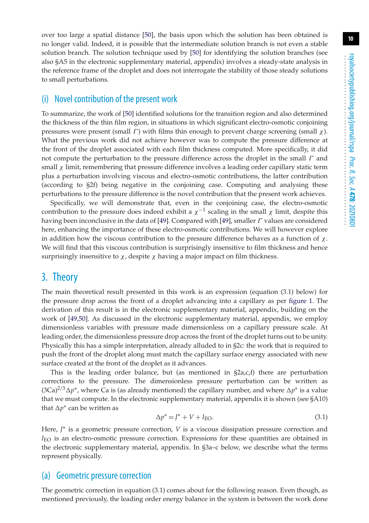over too large a spatial distance [\[50\]](#page-19-11), the basis upon which the solution has been obtained is no longer valid. Indeed, it is possible that the intermediate solution branch is not even a stable solution branch. The solution technique used by [\[50\]](#page-19-11) for identifying the solution branches (see also §A5 in the electronic supplementary material, appendix) involves a steady-state analysis in the reference frame of the droplet and does not interrogate the stability of those steady solutions to small perturbations.

#### (i) Novel contribution of the present work

To summarize, the work of [\[50\]](#page-19-11) identified solutions for the transition region and also determined the thickness of the thin film region, in situations in which significant electro-osmotic conjoining pressures were present (small  $\Gamma$ ) with films thin enough to prevent charge screening (small  $\chi$ ). What the previous work did not achieve however was to compute the pressure difference at the front of the droplet associated with each film thickness computed. More specifically, it did not compute the perturbation to the pressure difference across the droplet in the small  $\Gamma$  and small  $\chi$  limit, remembering that pressure difference involves a leading order capillary static term plus a perturbation involving viscous and electro-osmotic contributions, the latter contribution (according to §2f) being negative in the conjoining case. Computing and analysing these perturbations to the pressure difference is the novel contribution that the present work achieves.

Specifically, we will demonstrate that, even in the conjoining case, the electro-osmotic contribution to the pressure does indeed exhibit a  $\chi^{-1}$  scaling in the small  $\chi$  limit, despite this having been inconclusive in the data of [\[49\]](#page-19-10). Compared with [49], smaller  $\Gamma$  values are considered here, enhancing the importance of these electro-osmotic contributions. We will however explore in addition how the viscous contribution to the pressure difference behaves as a function of  $\chi$ . We will find that this viscous contribution is surprisingly insensitive to film thickness and hence surprisingly insensitive to  $\chi$ , despite  $\chi$  having a major impact on film thickness.

## 3. Theory

The main theoretical result presented in this work is an expression (equation (3.1) below) for the pressure drop across the front of a droplet advancing into a capillary as per [figure 1.](#page-2-0) The derivation of this result is in the electronic supplementary material, appendix, building on the work of [\[49](#page-19-10)[,50\]](#page-19-11). As discussed in the electronic supplementary material, appendix, we employ dimensionless variables with pressure made dimensionless on a capillary pressure scale. At leading order, the dimensionless pressure drop across the front of the droplet turns out to be unity. Physically this has a simple interpretation, already alluded to in §2c: the work that is required to push the front of the droplet along must match the capillary surface energy associated with new surface created at the front of the droplet as it advances.

This is the leading order balance, but (as mentioned in  $\Sigma_{a,c,f}$ ) there are perturbation corrections to the pressure. The dimensionless pressure perturbation can be written as (3Ca)2/3*p*∗, where Ca is (as already mentioned) the capillary number, and where *p*<sup>∗</sup> is a value that we must compute. In the electronic supplementary material, appendix it is shown (see §A10) that ∆p\* can be written as

$$
\Delta p^* = J^* + V + I_{\text{EO}}.\tag{3.1}
$$

Here, *J*<sup>∗</sup> is a geometric pressure correction, *V* is a viscous dissipation pressure correction and  $I_{\rm EO}$  is an electro-osmotic pressure correction. Expressions for these quantities are obtained in the electronic supplementary material, appendix. In §3a–c below, we describe what the terms represent physically.

#### (a) Geometric pressure correction

The geometric correction in equation (3.1) comes about for the following reason. Even though, as mentioned previously, the leading order energy balance in the system is between the work done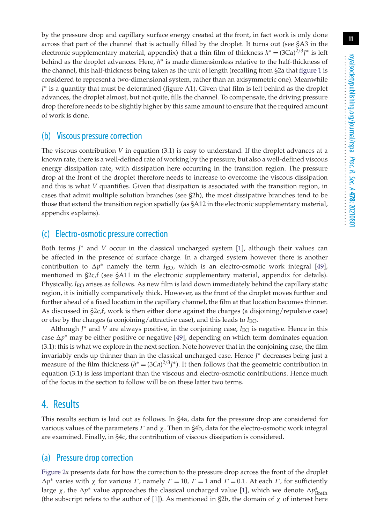by the pressure drop and capillary surface energy created at the front, in fact work is only done across that part of the channel that is actually filled by the droplet. It turns out (see §A3 in the electronic supplementary material, appendix) that a thin film of thickness  $h^* = (3Ca)^{2/3}J^*$  is left behind as the droplet advances. Here, *h*∗ is made dimensionless relative to the half-thickness of the channel, this half-thickness being taken as the unit of length (recalling from §2a that [figure 1](#page-2-0) is considered to represent a two-dimensional system, rather than an axisymmetric one). Meanwhile *J* ∗ is a quantity that must be determined (figure A1). Given that film is left behind as the droplet advances, the droplet almost, but not quite, fills the channel. To compensate, the driving pressure drop therefore needs to be slightly higher by this same amount to ensure that the required amount of work is done.

#### (b) Viscous pressure correction

The viscous contribution  $V$  in equation  $(3.1)$  is easy to understand. If the droplet advances at a known rate, there is a well-defined rate of working by the pressure, but also a well-defined viscous energy dissipation rate, with dissipation here occurring in the transition region. The pressure drop at the front of the droplet therefore needs to increase to overcome the viscous dissipation and this is what *V* quantifies. Given that dissipation is associated with the transition region, in cases that admit multiple solution branches (see §2h), the most dissipative branches tend to be those that extend the transition region spatially (as §A12 in the electronic supplementary material, appendix explains).

#### (c) Electro-osmotic pressure correction

Both terms *J* ∗ and *V* occur in the classical uncharged system [\[1\]](#page-17-0), although their values can be affected in the presence of surface charge. In a charged system however there is another contribution to  $\Delta p^*$  namely the term  $I_{\text{EO}}$ , which is an electro-osmotic work integral [\[49\]](#page-19-10), mentioned in §2c,f (see §A11 in the electronic supplementary material, appendix for details). Physically, *I*<sub>EO</sub> arises as follows. As new film is laid down immediately behind the capillary static region, it is initially comparatively thick. However, as the front of the droplet moves further and further ahead of a fixed location in the capillary channel, the film at that location becomes thinner. As discussed in §2c,f, work is then either done against the charges (a disjoining/repulsive case) or else by the charges (a conjoining/attractive case), and this leads to  $I_{\text{EO}}$ .

Although *J*<sup>∗</sup> and *V* are always positive, in the conjoining case, *I*<sub>EO</sub> is negative. Hence in this case  $\Delta p^*$  may be either positive or negative [\[49\]](#page-19-10), depending on which term dominates equation (3.1): this is what we explore in the next section. Note however that in the conjoining case, the film invariably ends up thinner than in the classical uncharged case. Hence *J* ∗ decreases being just a measure of the film thickness ( $h^* = (3Ca)^{2/3} J^*$ ). It then follows that the geometric contribution in equation (3.1) is less important than the viscous and electro-osmotic contributions. Hence much of the focus in the section to follow will be on these latter two terms.

## 4. Results

This results section is laid out as follows. In §4a, data for the pressure drop are considered for various values of the parameters  $\Gamma$  and  $\chi$ . Then in §4b, data for the electro-osmotic work integral are examined. Finally, in §4c, the contribution of viscous dissipation is considered.

## (a) Pressure drop correction

[Figure 2](#page-11-0)*a* presents data for how the correction to the pressure drop across the front of the droplet  $\Delta p^*$  varies with  $\chi$  for various  $\Gamma$ , namely  $\Gamma = 10$ ,  $\Gamma = 1$  and  $\Gamma = 0.1$ . At each  $\Gamma$ , for sufficiently large  $\chi$ , the  $\Delta p^*$  value approaches the classical uncharged value [\[1\]](#page-17-0), which we denote  $\Delta p^*_{\rm Breth}$ (the subscript refers to the author of [\[1\]](#page-17-0)). As mentioned in  $\S2b$ , the domain of  $\chi$  of interest here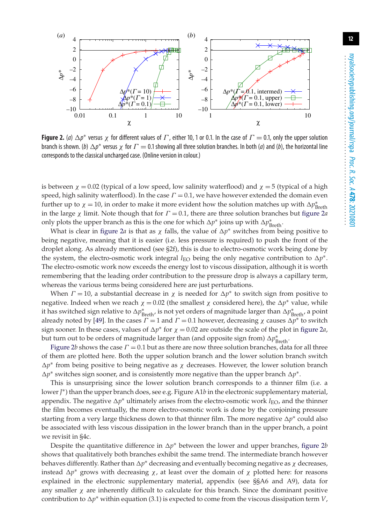<span id="page-11-0"></span>

**Figure 2.** (*a*)  $\Delta p^*$  versus  $\chi$  for different values of  $\Gamma$ , either 10, 1 or 0.1. In the case of  $\Gamma = 0.1$ , only the upper solution branch is shown. (*b*)  $\Delta p^*$  versus  $\chi$  for  $\Gamma = 0.1$  showing all three solution branches. In both (*a*) and (*b*), the horizontal line corresponds to the classical uncharged case. (Online version in colour.)

is between  $\chi = 0.02$  (typical of a low speed, low salinity waterflood) and  $\chi = 5$  (typical of a high speed, high salinity waterflood). In the case  $\Gamma = 0.1$ , we have however extended the domain even further up to  $\chi = 10$ , in order to make it more evident how the solution matches up with  $\Delta p^*_{\rm Breth}$ in the large  $\chi$  limit. Note though that for  $\Gamma = 0.1$ , there are three solution branches but [figure 2](#page-11-0)*a* only plots the upper branch as this is the one for which  $\Delta p^*$  joins up with  $\Delta p^*_{\rm Breth}$ .

What is clear in [figure 2](#page-11-0)*a* is that as  $\chi$  falls, the value of  $\Delta p^*$  switches from being positive to being negative, meaning that it is easier (i.e. less pressure is required) to push the front of the droplet along. As already mentioned (see §2f), this is due to electro-osmotic work being done by the system, the electro-osmotic work integral *I*<sub>EO</sub> being the only negative contribution to  $\Delta p^*$ . The electro-osmotic work now exceeds the energy lost to viscous dissipation, although it is worth remembering that the leading order contribution to the pressure drop is always a capillary term, whereas the various terms being considered here are just perturbations.

When  $\Gamma = 10$ , a substantial decrease in  $\chi$  is needed for  $\Delta p^*$  to switch sign from positive to negative. Indeed when we reach  $\chi = 0.02$  (the smallest  $\chi$  considered here), the  $\Delta p^*$  value, while it has switched sign relative to ∆ $p^*_{\rm Breth'}$  is not yet orders of magnitude larger than ∆ $p^*_{\rm Breth'}$ , a point already noted by [\[49\]](#page-19-10). In the cases  $\Gamma = 1$  and  $\Gamma = 0.1$  however, decreasing  $\chi$  causes  $\Delta p^*$  to switch sign sooner. In these cases, values of  $\Delta p^*$  for  $\chi = 0.02$  are outside the scale of the plot in [figure 2](#page-11-0)*a*, but turn out to be orders of magnitude larger than (and opposite sign from)  $\Delta p^*_{\rm Breth}$ .

[Figure 2](#page-11-0)*b* shows the case  $\Gamma = 0.1$  but as there are now three solution branches, data for all three of them are plotted here. Both the upper solution branch and the lower solution branch switch  $\Delta p^*$  from being positive to being negative as  $\chi$  decreases. However, the lower solution branch  $\Delta p^*$  switches sign sooner, and is consistently more negative than the upper branch  $\Delta p^*$ .

This is unsurprising since the lower solution branch corresponds to a thinner film (i.e. a lower*J* ∗) than the upper branch does, see e.g. Figure A1*b* in the electronic supplementary material, appendix. The negative  $\Delta p$ <sup>∗</sup> ultimately arises from the electro-osmotic work *I*<sub>EO</sub>, and the thinner the film becomes eventually, the more electro-osmotic work is done by the conjoining pressure starting from a very large thickness down to that thinner film. The more negative  $\Delta p^*$  could also be associated with less viscous dissipation in the lower branch than in the upper branch, a point we revisit in §4c.

Despite the quantitative difference in  $\Delta p^*$  between the lower and upper branches, [figure 2](#page-11-0)*b* shows that qualitatively both branches exhibit the same trend. The intermediate branch however behaves differently. Rather than  $\Delta p^*$  decreasing and eventually becoming negative as  $\chi$  decreases, instead  $\Delta p^*$  grows with decreasing  $\chi$ , at least over the domain of  $\chi$  plotted here: for reasons explained in the electronic supplementary material, appendix (see §§A6 and A9), data for any smaller  $\chi$  are inherently difficult to calculate for this branch. Since the dominant positive contribution to  $\Delta p^*$  within equation (3.1) is expected to come from the viscous dissipation term *V*,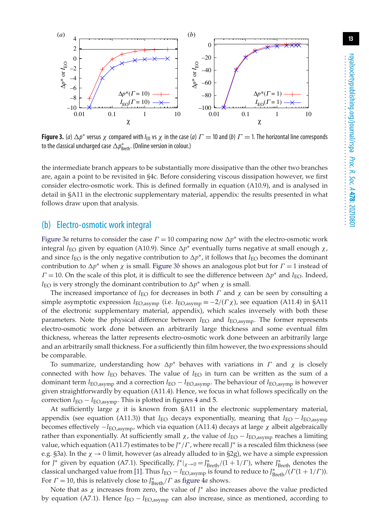<span id="page-12-0"></span>

**Figure 3.** (*a*)  $\Delta p^*$  versus  $\chi$  compared with  $I_{E0}$  vs  $\chi$  in the case (*a*)  $\Gamma$  = 10 and (*b*)  $\Gamma$  = 1. The horizontal line corresponds to the classical uncharged case  $\Delta p_{\text{Breth}}^*$ . (Online version in colour.)

the intermediate branch appears to be substantially more dissipative than the other two branches are, again a point to be revisited in §4c. Before considering viscous dissipation however, we first consider electro-osmotic work. This is defined formally in equation (A10.9), and is analysed in detail in §A11 in the electronic supplementary material, appendix: the results presented in what follows draw upon that analysis.

#### (b) Electro-osmotic work integral

[Figure 3](#page-12-0)*a* returns to consider the case  $\Gamma = 10$  comparing now  $\Delta p^*$  with the electro-osmotic work integral *I*<sub>EO</sub> given by equation (A10.9). Since  $\Delta p^*$  eventually turns negative at small enough  $\chi$ , and since  $I_{\text{FO}}$  is the only negative contribution to  $\Delta p^*$ , it follows that  $I_{\text{FO}}$  becomes the dominant contribution to  $\Delta p^*$  when  $\chi$  is small. [Figure 3](#page-12-0)*b* shows an analogous plot but for  $\Gamma = 1$  instead of  $\Gamma = 10$ . On the scale of this plot, it is difficult to see the difference between  $\Delta p^*$  and *I*<sub>EO</sub>. Indeed, *I*<sub>EO</sub> is very strongly the dominant contribution to  $\Delta p^*$  when  $\chi$  is small.

The increased importance of  $I_{\text{EO}}$  for decreases in both  $\Gamma$  and  $\chi$  can be seen by consulting a simple asymptotic expression  $I_{\text{EO,asymp}}$  (i.e.  $I_{\text{EO,asymp}} \equiv -2/(F\chi)$ , see equation (A11.4) in §A11 of the electronic supplementary material, appendix), which scales inversely with both these parameters. Note the physical difference between *I*EO and *I*EO,asymp. The former represents electro-osmotic work done between an arbitrarily large thickness and some eventual film thickness, whereas the latter represents electro-osmotic work done between an arbitrarily large and an arbitrarily small thickness. For a sufficiently thin film however, the two expressions should be comparable.

To summarize, understanding how  $\Delta p^*$  behaves with variations in  $\Gamma$  and  $\chi$  is closely connected with how  $I_{\text{EO}}$  behaves. The value of  $I_{\text{EO}}$  in turn can be written as the sum of a dominant term  $I_{\text{EO,asymp}}$  and a correction  $I_{\text{EO}} - I_{\text{EO,asymp}}$ . The behaviour of  $I_{\text{EO,asymp}}$  is however given straightforwardly by equation (A11.4). Hence, we focus in what follows specifically on the correction  $I_{EO} - I_{EO,asymp}$ . This is plotted in figures [4](#page-13-0) and [5.](#page-13-1)

At sufficiently large  $\chi$  it is known from §A11 in the electronic supplementary material, appendix (see equation (A11.3)) that *I*<sub>EO</sub> decays exponentially, meaning that *I*<sub>EO</sub> − *I*<sub>EO,asymp</sub> becomes effectively  $-I_{\text{EO,asymp}}$ , which via equation (A11.4) decays at large  $\chi$  albeit algebraically rather than exponentially. At sufficiently small  $\chi$ , the value of  $I_{\text{EO}} - I_{\text{EO,asymp}}$  reaches a limiting value, which equation (A11.7) estimates to be *J* ∗/Γ , where recall *J* ∗ is a rescaled film thickness (see e.g. §3a). In the  $\chi \rightarrow 0$  limit, however (as already alluded to in §2g), we have a simple expression for *J*<sup>\*</sup> given by equation (A7.1). Specifically,  $J^*|_{\chi \to 0} = J^*_{\text{Breth}}/(1 + 1/\Gamma)$ , where  $J^*_{\text{Breth}}$  denotes the classical uncharged value from [\[1\]](#page-17-0). Thus *I*<sub>EO</sub>  $-$  *I*<sub>EO,asymp</sub> is found to reduce to *J* $_{\rm Breth}^*$ /(*Γ*(1 + 1/*Γ*)). For  $\Gamma = 10$ , this is relatively close to  $J_{\text{Breth}}^* / \Gamma$  as [figure 4](#page-13-0)*a* shows.

Note that as χ increases from zero, the value of *J* ∗ also increases above the value predicted by equation (A7.1). Hence *I*EO − *I*EO,asymp can also increase, since as mentioned, according to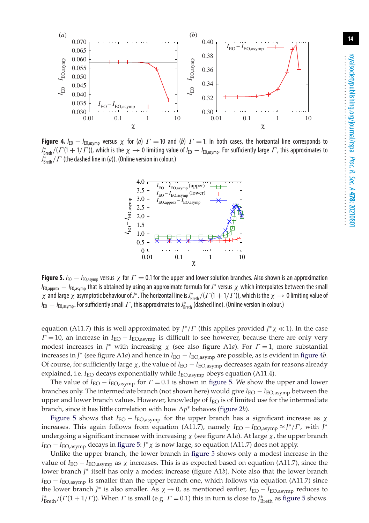<span id="page-13-0"></span>

<span id="page-13-1"></span>**Figure 4.** *I*<sub>EO</sub> – *I*<sub>EO,asymp</sub> versus  $\chi$  for (*a*)  $\Gamma = 10$  and (*b*)  $\Gamma = 1$ . In both cases, the horizontal line corresponds to  $J^*_{\text{Breth}}/( \Gamma(1+1/\Gamma))$ , which is the  $\chi \to 0$  limiting value of  $I_{\text{E0}} - I_{\text{E0,asymp}}$ . For sufficiently large  $\Gamma$ , this approximates to  $J_{\text{Breth}}^*/\Gamma$  (the dashed line in (*a*)). (Online version in colour.)



**Figure 5.**  $I_{\text{E0}} - I_{\text{E0,asymp}}$  versus  $\chi$  for  $\Gamma = 0.1$  for the upper and lower solution branches. Also shown is an approximation  $I_{\text{E0,approx}} - I_{\text{E0,asymp}}$  that is obtained by using an approximate formula for *J*<sup>\*</sup> versus  $\chi$  which interpolates between the small  $χ$  and large  $χ$  asymptotic behaviour of *J*<sup>\*</sup>. The horizontal line is *J*<sup>\*</sup><sub>Breth</sub>/( $Γ$ (1 + 1/ $Γ$ )), which is the  $χ$   $→$  0 limiting value of *I*<sub>EO</sub>  $-$  *I*<sub>EO,asymp</sub>. For sufficiently small *Γ*, this approximates to *J*<sub>8reth</sub> (dashed line). (Online version in colour.)

equation (A11.7) this is well approximated by *J<sup>∗</sup>/Γ* (this applies provided *J<sup>∗</sup>χ* ≪1). In the case  $\Gamma = 10$ , an increase in  $I_{\text{EO}} - I_{\text{EO,asymp}}$  is difficult to see however, because there are only very modest increases in  $J^*$  with increasing  $\chi$  (see also figure A1*a*). For  $\Gamma = 1$ , more substantial increases in *J* <sup>∗</sup> (see figure A1*a*) and hence in *I*EO − *I*EO,asymp are possible, as is evident in [figure 4](#page-13-0)*b*. Of course, for sufficiently large  $\chi$ , the value of *I*<sub>EO</sub> − *I*<sub>EO,asymp</sub> decreases again for reasons already explained, i.e. *I*<sub>EO</sub> decays exponentially while *I*<sub>EO,asymp</sub> obeys equation (A11.4).

The value of  $I_{\text{EO}} - I_{\text{EO,asymp}}$  for  $\Gamma = 0.1$  is shown in [figure 5.](#page-13-1) We show the upper and lower branches only. The intermediate branch (not shown here) would give *I*EO − *I*EO,asymp between the upper and lower branch values. However, knowledge of *I*<sub>EO</sub> is of limited use for the intermediate branch, since it has little correlation with how  $\Delta p^*$  behaves [\(figure 2](#page-11-0)*b*).

[Figure 5](#page-13-1) shows that  $I_{\text{EO}} - I_{\text{EO,asymp}}$  for the upper branch has a significant increase as  $\chi$ increases. This again follows from equation (A11.7), namely  $I_{\text{EO}} - I_{\text{EO,asymp}} \approx J^*/\Gamma$ , with  $J^*$ undergoing a significant increase with increasing  $\chi$  (see figure A1*a*). At large  $\chi$ , the upper branch *I*EO − *I*EO,asymp decays in [figure 5:](#page-13-1) *J* ∗χ is now large, so equation (A11.7) does not apply.

Unlike the upper branch, the lower branch in [figure 5](#page-13-1) shows only a modest increase in the value of  $I_{\text{EO}} - I_{\text{EO,asymp}}$  as  $\chi$  increases. This is as expected based on equation (A11.7), since the lower branch *J* ∗ itself has only a modest increase (figure A1*b*). Note also that the lower branch  $I_{\text{EO}} - I_{\text{EO,asymp}}$  is smaller than the upper branch one, which follows via equation (A11.7) since the lower branch *J* <sup>∗</sup> is also smaller. As χ → 0, as mentioned earlier, *I*EO − *I*EO,asymp reduces to  $J^*_{\text{Breth}}/( \Gamma(1+1/\Gamma))$ . When  $\Gamma$  is small (e.g.  $\Gamma = 0.1$ ) this in turn is close to  $J^*_{\text{Breth}}$  as [figure 5](#page-13-1) shows.

**14**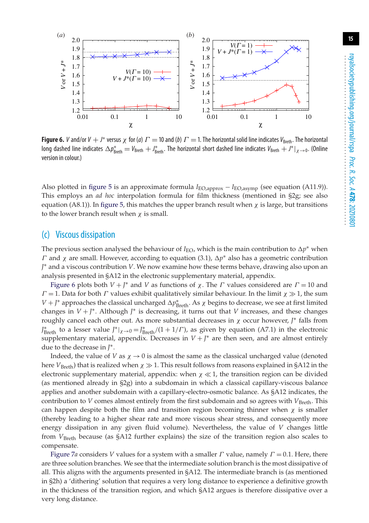<span id="page-14-0"></span>

**Figure 6.** *V* and/or  $V + J^*$  versus  $\chi$  for (*a*)  $\Gamma = 10$  and (*b*)  $\Gamma = 1$ . The horizontal solid line indicates  $V_{\text{Breth}}$ . The horizontal long dashed line indicates  $\Delta p^*_{\text{Breth}} = V_{\text{Breth}} + J^*_{\text{Breth}}$ . The horizontal short dashed line indicates  $V_{\text{Breth}} + J^*|_{\chi \to 0}$ . (Online version in colour.)

Also plotted in [figure 5](#page-13-1) is an approximate formula *I*EO,approx − *I*EO,asymp (see equation (A11.9)). This employs an *ad hoc* interpolation formula for film thickness (mentioned in §2g; see also equation (A8.1)). In [figure 5,](#page-13-1) this matches the upper branch result when  $\chi$  is large, but transitions to the lower branch result when  $\chi$  is small.

#### (c) Viscous dissipation

The previous section analysed the behaviour of  $I_{\text{EO}}$ , which is the main contribution to  $\Delta p^*$  when Γ and χ are small. However, according to equation (3.1), *p*∗ also has a geometric contribution *J* ∗ and a viscous contribution *V*. We now examine how these terms behave, drawing also upon an analysis presented in §A12 in the electronic supplementary material, appendix.

[Figure 6](#page-14-0) plots both  $V + J^*$  and *V* as functions of  $\chi$ . The *Γ* values considered are  $\Gamma = 10$  and  $\Gamma = 1$ . Data for both  $\Gamma$  values exhibit qualitatively similar behaviour. In the limit  $\chi \gg 1$ , the sum *V* + *J*\* approaches the classical uncharged  $\Delta p^*_{\rm Breth}$ . As χ begins to decrease, we see at first limited changes in *V* + *J* ∗. Although *J* ∗ is decreasing, it turns out that *V* increases, and these changes roughly cancel each other out. As more substantial decreases in χ occur however, *J* ∗ falls from *J*<sup>\*</sup><sub>Breth</sub> to a lesser value *J*<sup>\*</sup> $|_{\chi \to 0} = J^*_{\text{Breth}}/(1 + 1/\Gamma)$ , as given by equation (A7.1) in the electronic supplementary material, appendix. Decreases in *V* + *J* ∗ are then seen, and are almost entirely due to the decrease in *J* ∗.

Indeed, the value of *V* as  $\chi \rightarrow 0$  is almost the same as the classical uncharged value (denoted here  $V_{\text{Breth}}$ ) that is realized when  $\chi \gg 1$ . This result follows from reasons explained in §A12 in the electronic supplementary material, appendix: when  $\chi \ll 1$ , the transition region can be divided (as mentioned already in §2g) into a subdomain in which a classical capillary-viscous balance applies and another subdomain with a capillary-electro-osmotic balance. As §A12 indicates, the contribution to *V* comes almost entirely from the first subdomain and so agrees with *V*<sub>Breth</sub>. This can happen despite both the film and transition region becoming thinner when  $\chi$  is smaller (thereby leading to a higher shear rate and more viscous shear stress, and consequently more energy dissipation in any given fluid volume). Nevertheless, the value of *V* changes little from *V*Breth because (as §A12 further explains) the size of the transition region also scales to compensate.

[Figure 7](#page-15-0)*a* considers *V* values for a system with a smaller  $\Gamma$  value, namely  $\Gamma = 0.1$ . Here, there are three solution branches. We see that the intermediate solution branch is the most dissipative of all. This aligns with the arguments presented in §A12. The intermediate branch is (as mentioned in §2h) a 'dithering' solution that requires a very long distance to experience a definitive growth in the thickness of the transition region, and which §A12 argues is therefore dissipative over a very long distance.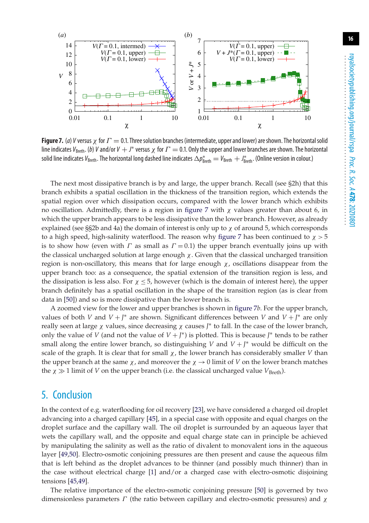<span id="page-15-0"></span>

**Figure 7.** (*a*) *V* versus  $\chi$  for  $\Gamma = 0.1$ . Three solution branches (intermediate, upper and lower) are shown. The horizontal solid line indicates  $V_{\text{Breth}}$ . (*b*) *V* and/or  $V + J^*$  versus  $\chi$  for  $\Gamma = 0.1$ . Only the upper and lower branches are shown. The horizontal solid line indicates  $V_{\rm Breth}$ . The horizontal long dashed line indicates  $\Delta p^*_{\rm Breth} = V_{\rm Breth} + J^*_{\rm Breth}$ . (Online version in colour.)

The next most dissipative branch is by and large, the upper branch. Recall (see §2h) that this branch exhibits a spatial oscillation in the thickness of the transition region, which extends the spatial region over which dissipation occurs, compared with the lower branch which exhibits no oscillation. Admittedly, there is a region in [figure 7](#page-15-0) with  $\chi$  values greater than about 6, in which the upper branch appears to be less dissipative than the lower branch. However, as already explained (see §§2b and 4a) the domain of interest is only up to  $\chi$  of around 5, which corresponds to a high speed, high-salinity waterflood. The reason why [figure 7](#page-15-0) has been continued to  $\chi > 5$ is to show how (even with  $\Gamma$  as small as  $\Gamma = 0.1$ ) the upper branch eventually joins up with the classical uncharged solution at large enough  $\chi$ . Given that the classical uncharged transition region is non-oscillatory, this means that for large enough  $\chi$ , oscillations disappear from the upper branch too: as a consequence, the spatial extension of the transition region is less, and the dissipation is less also. For  $\chi \leq 5$ , however (which is the domain of interest here), the upper branch definitely has a spatial oscillation in the shape of the transition region (as is clear from data in [\[50\]](#page-19-11)) and so is more dissipative than the lower branch is.

A zoomed view for the lower and upper branches is shown in [figure 7](#page-15-0)*b*. For the upper branch, values of both *V* and *V* + *J* <sup>∗</sup> are shown. Significant differences between *V* and *V* + *J* ∗ are only really seen at large χ values, since decreasing χ causes *J* ∗ to fall. In the case of the lower branch, only the value of *V* (and not the value of  $V + J^*$ ) is plotted. This is because  $J^*$  tends to be rather small along the entire lower branch, so distinguishing *V* and *V* + *J* ∗ would be difficult on the scale of the graph. It is clear that for small  $\chi$ , the lower branch has considerably smaller *V* than the upper branch at the same  $\chi$ , and moreover the  $\chi \to 0$  limit of *V* on the lower branch matches the  $\chi \gg 1$  limit of *V* on the upper branch (i.e. the classical uncharged value  $V_{\text{Breth}}$ ).

## 5. Conclusion

In the context of e.g. waterflooding for oil recovery [\[23\]](#page-18-6), we have considered a charged oil droplet advancing into a charged capillary [\[45\]](#page-19-6), in a special case with opposite and equal charges on the droplet surface and the capillary wall. The oil droplet is surrounded by an aqueous layer that wets the capillary wall, and the opposite and equal charge state can in principle be achieved by manipulating the salinity as well as the ratio of divalent to monovalent ions in the aqueous layer [\[49,](#page-19-10)[50\]](#page-19-11). Electro-osmotic conjoining pressures are then present and cause the aqueous film that is left behind as the droplet advances to be thinner (and possibly much thinner) than in the case without electrical charge [\[1\]](#page-17-0) and/or a charged case with electro-osmotic disjoining tensions [\[45,](#page-19-6)[49\]](#page-19-10).

The relative importance of the electro-osmotic conjoining pressure [\[50\]](#page-19-11) is governed by two dimensionless parameters  $\Gamma$  (the ratio between capillary and electro-osmotic pressures) and  $\chi$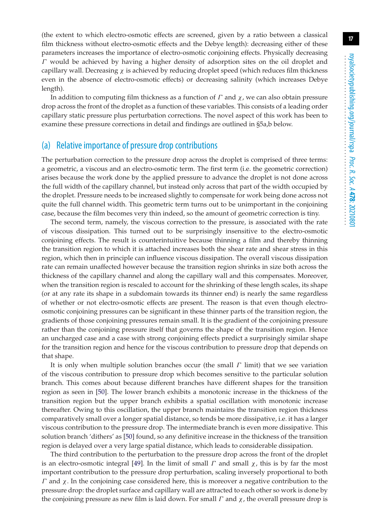(the extent to which electro-osmotic effects are screened, given by a ratio between a classical film thickness without electro-osmotic effects and the Debye length): decreasing either of these parameters increases the importance of electro-osmotic conjoining effects. Physically decreasing  $\Gamma$  would be achieved by having a higher density of adsorption sites on the oil droplet and capillary wall. Decreasing  $\chi$  is achieved by reducing droplet speed (which reduces film thickness even in the absence of electro-osmotic effects) or decreasing salinity (which increases Debye length).

In addition to computing film thickness as a function of  $\Gamma$  and  $\chi$ , we can also obtain pressure drop across the front of the droplet as a function of these variables. This consists of a leading order capillary static pressure plus perturbation corrections. The novel aspect of this work has been to examine these pressure corrections in detail and findings are outlined in §5a,b below.

#### (a) Relative importance of pressure drop contributions

The perturbation correction to the pressure drop across the droplet is comprised of three terms: a geometric, a viscous and an electro-osmotic term. The first term (i.e. the geometric correction) arises because the work done by the applied pressure to advance the droplet is not done across the full width of the capillary channel, but instead only across that part of the width occupied by the droplet. Pressure needs to be increased slightly to compensate for work being done across not quite the full channel width. This geometric term turns out to be unimportant in the conjoining case, because the film becomes very thin indeed, so the amount of geometric correction is tiny.

The second term, namely, the viscous correction to the pressure, is associated with the rate of viscous dissipation. This turned out to be surprisingly insensitive to the electro-osmotic conjoining effects. The result is counterintuitive because thinning a film and thereby thinning the transition region to which it is attached increases both the shear rate and shear stress in this region, which then in principle can influence viscous dissipation. The overall viscous dissipation rate can remain unaffected however because the transition region shrinks in size both across the thickness of the capillary channel and along the capillary wall and this compensates. Moreover, when the transition region is rescaled to account for the shrinking of these length scales, its shape (or at any rate its shape in a subdomain towards its thinner end) is nearly the same regardless of whether or not electro-osmotic effects are present. The reason is that even though electroosmotic conjoining pressures can be significant in these thinner parts of the transition region, the gradients of those conjoining pressures remain small. It is the gradient of the conjoining pressure rather than the conjoining pressure itself that governs the shape of the transition region. Hence an uncharged case and a case with strong conjoining effects predict a surprisingly similar shape for the transition region and hence for the viscous contribution to pressure drop that depends on that shape.

It is only when multiple solution branches occur (the small  $\Gamma$  limit) that we see variation of the viscous contribution to pressure drop which becomes sensitive to the particular solution branch. This comes about because different branches have different shapes for the transition region as seen in [\[50\]](#page-19-11). The lower branch exhibits a monotonic increase in the thickness of the transition region but the upper branch exhibits a spatial oscillation with monotonic increase thereafter. Owing to this oscillation, the upper branch maintains the transition region thickness comparatively small over a longer spatial distance, so tends be more dissipative, i.e. it has a larger viscous contribution to the pressure drop. The intermediate branch is even more dissipative. This solution branch 'dithers' as [\[50\]](#page-19-11) found, so any definitive increase in the thickness of the transition region is delayed over a very large spatial distance, which leads to considerable dissipation.

The third contribution to the perturbation to the pressure drop across the front of the droplet is an electro-osmotic integral [\[49\]](#page-19-10). In the limit of small  $\Gamma$  and small  $\chi$ , this is by far the most important contribution to the pressure drop perturbation, scaling inversely proportional to both  $Γ$  and  $χ$ . In the conjoining case considered here, this is moreover a negative contribution to the pressure drop: the droplet surface and capillary wall are attracted to each other so work is done by the conjoining pressure as new film is laid down. For small  $\Gamma$  and  $\chi$ , the overall pressure drop is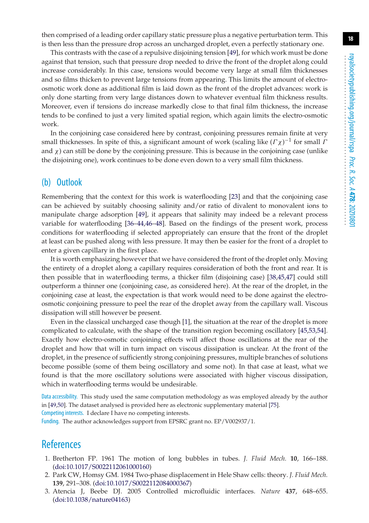then comprised of a leading order capillary static pressure plus a negative perturbation term. This is then less than the pressure drop across an uncharged droplet, even a perfectly stationary one.

This contrasts with the case of a repulsive disjoining tension [\[49\]](#page-19-10), for which work must be done against that tension, such that pressure drop needed to drive the front of the droplet along could increase considerably. In this case, tensions would become very large at small film thicknesses and so films thicken to prevent large tensions from appearing. This limits the amount of electroosmotic work done as additional film is laid down as the front of the droplet advances: work is only done starting from very large distances down to whatever eventual film thickness results. Moreover, even if tensions do increase markedly close to that final film thickness, the increase tends to be confined to just a very limited spatial region, which again limits the electro-osmotic work.

In the conjoining case considered here by contrast, conjoining pressures remain finite at very small thicknesses. In spite of this, a significant amount of work (scaling like  $(\Gamma \chi)^{-1}$  for small  $I$ and  $\chi$ ) can still be done by the conjoining pressure. This is because in the conjoining case (unlike the disjoining one), work continues to be done even down to a very small film thickness.

#### (b) Outlook

Remembering that the context for this work is waterflooding [\[23\]](#page-18-6) and that the conjoining case can be achieved by suitably choosing salinity and/or ratio of divalent to monovalent ions to manipulate charge adsorption [\[49\]](#page-19-10), it appears that salinity may indeed be a relevant process variable for waterflooding [\[36](#page-19-1)[–44,](#page-19-4)[46–](#page-19-7)[48\]](#page-19-9). Based on the findings of the present work, process conditions for waterflooding if selected appropriately can ensure that the front of the droplet at least can be pushed along with less pressure. It may then be easier for the front of a droplet to enter a given capillary in the first place.

It is worth emphasizing however that we have considered the front of the droplet only. Moving the entirety of a droplet along a capillary requires consideration of both the front and rear. It is then possible that in waterflooding terms, a thicker film (disjoining case) [\[38](#page-19-5)[,45,](#page-19-6)[47\]](#page-19-8) could still outperform a thinner one (conjoining case, as considered here). At the rear of the droplet, in the conjoining case at least, the expectation is that work would need to be done against the electroosmotic conjoining pressure to peel the rear of the droplet away from the capillary wall. Viscous dissipation will still however be present.

Even in the classical uncharged case though [\[1\]](#page-17-0), the situation at the rear of the droplet is more complicated to calculate, with the shape of the transition region becoming oscillatory [\[45,](#page-19-6)[53,](#page-20-3)[54\]](#page-20-4). Exactly how electro-osmotic conjoining effects will affect those oscillations at the rear of the droplet and how that will in turn impact on viscous dissipation is unclear. At the front of the droplet, in the presence of sufficiently strong conjoining pressures, multiple branches of solutions become possible (some of them being oscillatory and some not). In that case at least, what we found is that the more oscillatory solutions were associated with higher viscous dissipation, which in waterflooding terms would be undesirable.

Data accessibility. This study used the same computation methodology as was employed already by the author in [\[49](#page-19-10)[,50\]](#page-19-11). The dataset analysed is provided here as electronic supplementary material [\[75\]](#page-20-22). Competing interests. I declare I have no competing interests.

Funding. The author acknowledges support from EPSRC grant no. EP/V002937/1.

## <span id="page-17-0"></span>**References**

- 1. Bretherton FP. 1961 The motion of long bubbles in tubes. *J. Fluid Mech.* **10**, 166–188. [\(doi:10.1017/S0022112061000160\)](http://dx.doi.org/10.1017/S0022112061000160)
- <span id="page-17-1"></span>2. Park CW, Homsy GM. 1984 Two-phase displacement in Hele Shaw cells: theory. *J. Fluid Mech.* **139**, 291–308. [\(doi:10.1017/S0022112084000367\)](http://dx.doi.org/10.1017/S0022112084000367)
- <span id="page-17-2"></span>3. Atencia J, Beebe DJ. 2005 Controlled microfluidic interfaces. *Nature* **437**, 648–655. [\(doi:10.1038/nature04163\)](http://dx.doi.org/10.1038/nature04163)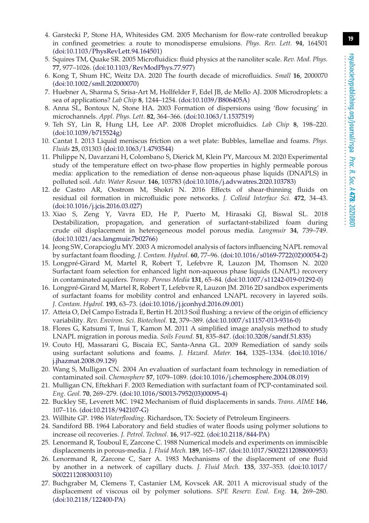- 4. Garstecki P, Stone HA, Whitesides GM. 2005 Mechanism for flow-rate controlled breakup in confined geometries: a route to monodisperse emulsions. *Phys. Rev. Lett.* **94**, 164501 [\(doi:10.1103/PhysRevLett.94.164501\)](http://dx.doi.org/10.1103/PhysRevLett.94.164501)
- 5. Squires TM, Quake SR. 2005 Microfluidics: fluid physics at the nanoliter scale. *Rev. Mod. Phys.* **77**, 977–1026. [\(doi:10.1103/RevModPhys.77.977\)](http://dx.doi.org/10.1103/RevModPhys.77.977)
- 6. Kong T, Shum HC, Weitz DA. 2020 The fourth decade of microfluidics. *Small* **16**, 2000070 [\(doi:10.1002/smll.202000070\)](http://dx.doi.org/10.1002/smll.202000070)
- 7. Huebner A, Sharma S, Srisa-Art M, Hollfelder F, Edel JB, de Mello AJ. 2008 Microdroplets: a sea of applications? *Lab Chip* **8**, 1244–1254. [\(doi:10.1039/B806405A\)](http://dx.doi.org/10.1039/B806405A)
- 8. Anna SL, Bontoux N, Stone HA. 2003 Formation of dispersions using 'flow focusing' in microchannels. *Appl. Phys. Lett.* **82**, 364–366. [\(doi:10.1063/1.1537519\)](http://dx.doi.org/10.1063/1.1537519)
- 9. Teh SY, Lin R, Hung LH, Lee AP. 2008 Droplet microfluidics. *Lab Chip* **8**, 198–220. [\(doi:10.1039/b715524g\)](http://dx.doi.org/10.1039/b715524g)
- <span id="page-18-0"></span>10. Cantat I. 2013 Liquid meniscus friction on a wet plate: Bubbles, lamellae and foams. *Phys. Fluids* **25**, 031303 [\(doi:10.1063/1.4793544\)](http://dx.doi.org/10.1063/1.4793544)
- <span id="page-18-1"></span>11. Philippe N, Davarzani H, Colombano S, Dierick M, Klein PY, Marcoux M. 2020 Experimental study of the temperature effect on two-phase flow properties in highly permeable porous media: application to the remediation of dense non-aqueous phase liquids (DNAPLS) in polluted soil. *Adv. Water Resour.* **146**, 103783 [\(doi:10.1016/j.advwatres.2020.103783\)](http://dx.doi.org/10.1016/j.advwatres.2020.103783)
- 12. de Castro AR, Oostrom M, Shokri N. 2016 Effects of shear-thinning fluids on residual oil formation in microfluidic pore networks. *J. Colloid Interface Sci.* **472**, 34–43. [\(doi:10.1016/j.jcis.2016.03.027\)](http://dx.doi.org/10.1016/j.jcis.2016.03.027)
- 13. Xiao S, Zeng Y, Vavra ED, He P, Puerto M, Hirasaki GJ, Biswal SL. 2018 Destabilization, propagation, and generation of surfactant-stabilized foam during crude oil displacement in heterogeneous model porous media. *Langmuir* **34**, 739–749. [\(doi:10.1021/acs.langmuir.7b02766\)](http://dx.doi.org/10.1021/acs.langmuir.7b02766)
- <span id="page-18-2"></span>14. Jeong SW, Corapcioglu MY. 2003 A micromodel analysis of factors influencing NAPL removal by surfactant foam flooding. *J. Contam. Hydrol.* **60**, 77–96. [\(doi:10.1016/s0169-7722\(02\)00054-2\)](http://dx.doi.org/10.1016/s0169-7722(02)00054-2)
- <span id="page-18-3"></span>15. Longpré-Girard M, Martel R, Robert T, Lefebvre R, Lauzon JM, Thomson N. 2020 Surfactant foam selection for enhanced light non-aqueous phase liquids (LNAPL) recovery in contaminated aquifers. *Transp. Porous Media* **131**, 65–84. [\(doi:10.1007/s11242-019-01292-0\)](http://dx.doi.org/10.1007/s11242-019-01292-0)
- 16. Longpré-Girard M, Martel R, Robert T, Lefebvre R, Lauzon JM. 2016 2D sandbox experiments of surfactant foams for mobility control and enhanced LNAPL recovery in layered soils. *J. Contam. Hydrol.* **193**, 63–73. [\(doi:10.1016/j.jconhyd.2016.09.001\)](http://dx.doi.org/10.1016/j.jconhyd.2016.09.001)
- 17. Atteia O, Del Campo Estrada E, Bertin H. 2013 Soil flushing: a review of the origin of efficiency variability. *Rev. Environ. Sci. Biotechnol.* **12**, 379–389. [\(doi:10.1007/s11157-013-9316-0\)](http://dx.doi.org/10.1007/s11157-013-9316-0)
- 18. Flores G, Katsumi T, Inui T, Kamon M. 2011 A simplified image analysis method to study LNAPL migration in porous media. *Soils Found.* **51**, 835–847. [\(doi:10.3208/sandf.51.835\)](http://dx.doi.org/10.3208/sandf.51.835)
- 19. Couto HJ, Massarani G, Biscaia EC, Santa-Anna GL. 2009 Remediation of sandy soils using surfactant solutions and foams. *J. Hazard. Mater.* **164**, 1325–1334. [\(doi:10.1016/](http://dx.doi.org/10.1016/j.jhazmat.2008.09.129) [j.jhazmat.2008.09.129\)](http://dx.doi.org/10.1016/j.jhazmat.2008.09.129)
- 20. Wang S, Mulligan CN. 2004 An evaluation of surfactant foam technology in remediation of contaminated soil. *Chemosphere* **57**, 1079–1089. [\(doi:10.1016/j.chemosphere.2004.08.019\)](http://dx.doi.org/10.1016/j.chemosphere.2004.08.019)
- <span id="page-18-4"></span>21. Mulligan CN, Eftekhari F. 2003 Remediation with surfactant foam of PCP-contaminated soil. *Eng. Geol.* **70**, 269–279. [\(doi:10.1016/S0013-7952\(03\)00095-4\)](http://dx.doi.org/10.1016/S0013-7952(03)00095-4)
- <span id="page-18-5"></span>22. Buckley SE, Leverett MC. 1942 Mechanism of fluid displacements in sands. *Trans. AIME* **146**, 107–116. [\(doi:10.2118/942107-G\)](http://dx.doi.org/10.2118/942107-G)
- <span id="page-18-6"></span>23. Willhite GP. 1986 *Waterflooding*. Richardson, TX: Society of Petroleum Engineers.
- 24. Sandiford BB. 1964 Laboratory and field studies of water floods using polymer solutions to increase oil recoveries. *J. Petrol. Technol.* **16**, 917–922. [\(doi:10.2118/844-PA\)](http://dx.doi.org/10.2118/844-PA)
- 25. Lenormand R, Touboul E, Zarcone C. 1988 Numerical models and experiments on immiscible displacements in porous-media. *J. Fluid Mech.* **189**, 165–187. [\(doi:10.1017/S0022112088000953\)](http://dx.doi.org/10.1017/S0022112088000953)
- 26. Lenormand R, Zarcone C, Sarr A. 1983 Mechanisms of the displacement of one fluid by another in a network of capillary ducts. *J. Fluid Mech.* **135**, 337–353. [\(doi:10.1017/](http://dx.doi.org/10.1017/S0022112083003110) [S0022112083003110\)](http://dx.doi.org/10.1017/S0022112083003110)
- 27. Buchgraber M, Clemens T, Castanier LM, Kovscek AR. 2011 A microvisual study of the displacement of viscous oil by polymer solutions. *SPE Reserv. Eval. Eng.* **14**, 269–280. [\(doi:10.2118/122400-PA\)](http://dx.doi.org/10.2118/122400-PA)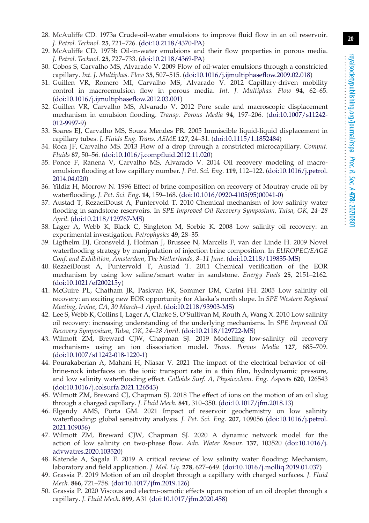- 28. McAuliffe CD. 1973a Crude-oil-water emulsions to improve fluid flow in an oil reservoir. *J. Petrol. Technol.* **25**, 721–726. [\(doi:10.2118/4370-PA\)](http://dx.doi.org/10.2118/4370-PA)
- 29. McAuliffe CD. 1973b Oil-in-water emulsions and their flow properties in porous media. *J. Petrol. Technol.* **25**, 727–733. [\(doi:10.2118/4369-PA\)](http://dx.doi.org/10.2118/4369-PA)
- 30. Cobos S, Carvalho MS, Alvarado V. 2009 Flow of oil-water emulsions through a constricted capillary. *Int. J. Multiphas. Flow* **35**, 507–515. [\(doi:10.1016/j.ijmultiphaseflow.2009.02.018\)](http://dx.doi.org/10.1016/j.ijmultiphaseflow.2009.02.018)
- 31. Guillen VR, Romero MI, Carvalho MS, Alvarado V. 2012 Capillary-driven mobility control in macroemulsion flow in porous media. *Int. J. Multiphas. Flow* **94**, 62–65. [\(doi:10.1016/j.ijmultiphaseflow.2012.03.001\)](http://dx.doi.org/10.1016/j.ijmultiphaseflow.2012.03.001)
- 32. Guillen VR, Carvalho MS, Alvarado V. 2012 Pore scale and macroscopic displacement mechanism in emulsion flooding. *Transp. Porous Media* **94**, 197–206. [\(doi:10.1007/s11242-](http://dx.doi.org/10.1007/s11242-012-9997-9) [012-9997-9\)](http://dx.doi.org/10.1007/s11242-012-9997-9)
- 33. Soares EJ, Carvalho MS, Souza Mendes PR. 2005 Immiscible liquid-liquid displacement in capillary tubes. *J. Fluids Eng. Trans. ASME* **127**, 24–31. [\(doi:10.1115/1.1852484\)](http://dx.doi.org/10.1115/1.1852484)
- 34. Roca JF, Carvalho MS. 2013 Flow of a drop through a constricted microcapillary. *Comput. Fluids* **87**, 50–56. [\(doi:10.1016/j.compfluid.2012.11.020\)](http://dx.doi.org/10.1016/j.compfluid.2012.11.020)
- <span id="page-19-0"></span>35. Ponce F, Ranena V, Carvalho MS, Alvarado V. 2014 Oil recovery modeling of macroemulsion flooding at low capillary number. *J. Pet. Sci. Eng.* **119**, 112–122. [\(doi:10.1016/j.petrol.](http://dx.doi.org/10.1016/j.petrol.2014.04.020) [2014.04.020\)](http://dx.doi.org/10.1016/j.petrol.2014.04.020)
- <span id="page-19-1"></span>36. Yildiz H, Morrow N. 1996 Effect of brine composition on recovery of Moutray crude oil by waterflooding. *J. Pet. Sci. Eng.* **14**, 159–168. [\(doi:10.1016/0920-4105\(95\)00041-0\)](http://dx.doi.org/10.1016/0920-4105(95)00041-0)
- <span id="page-19-13"></span>37. Austad T, RezaeiDoust A, Puntervold T. 2010 Chemical mechanism of low salinity water flooding in sandstone reservoirs. In *SPE Improved Oil Recovery Symposium, Tulsa, OK, 24–28 April*. [\(doi:10.2118/129767-MS\)](http://dx.doi.org/10.2118/129767-MS)
- <span id="page-19-5"></span>38. Lager A, Webb K, Black C, Singleton M, Sorbie K. 2008 Low salinity oil recovery: an experimental investigation. *Petrophysics* **49**, 28–35.
- <span id="page-19-12"></span>39. Ligthelm DJ, Gronsveld J, Hofman J, Brussee N, Marcelis F, van der Linde H. 2009 Novel waterflooding strategy by manipulation of injection brine composition. In *EUROPEC/EAGE Conf. and Exhibition, Amsterdam, The Netherlands, 8–11 June*. [\(doi:10.2118/119835-MS\)](http://dx.doi.org/10.2118/119835-MS)
- 40. RezaeiDoust A, Puntervold T, Austad T. 2011 Chemical verification of the EOR mechanism by using low saline/smart water in sandstone. *Energy Fuels* **25**, 2151–2162. [\(doi:10.1021/ef200215y\)](http://dx.doi.org/10.1021/ef200215y)
- 41. McGuire PL, Chatham JR, Paskvan FK, Sommer DM, Carini FH. 2005 Low salinity oil recovery: an exciting new EOR opportunity for Alaska's north slope. In *SPE Western Regional Meeting, Irvine, CA, 30 March–1 April*. [\(doi:10.2118/93903-MS\)](http://dx.doi.org/10.2118/93903-MS)
- <span id="page-19-2"></span>42. Lee S, Webb K, Collins I, Lager A, Clarke S, O'Sullivan M, Routh A, Wang X. 2010 Low salinity oil recovery: increasing understanding of the underlying mechanisms. In *SPE Improved Oil Recovery Symposium, Tulsa, OK, 24–28 April*. [\(doi:10.2118/129722-MS\)](http://dx.doi.org/10.2118/129722-MS)
- <span id="page-19-3"></span>43. Wilmott ZM, Breward CJW, Chapman SJ. 2019 Modelling low-salinity oil recovery mechanisms using an ion dissociation model. *Trans. Porous Media* **127**, 685–709. [\(doi:10.1007/s11242-018-1220-1\)](http://dx.doi.org/10.1007/s11242-018-1220-1)
- <span id="page-19-4"></span>44. Pourakaberian A, Mahani H, Niasar V. 2021 The impact of the electrical behavior of oilbrine-rock interfaces on the ionic transport rate in a thin film, hydrodynamic pressure, and low salinity waterflooding effect. *Colloids Surf. A, Physicochem. Eng. Aspects* **620**, 126543 [\(doi:10.1016/j.colsurfa.2021.126543\)](http://dx.doi.org/10.1016/j.colsurfa.2021.126543)
- <span id="page-19-6"></span>45. Wilmott ZM, Breward CJ, Chapman SJ. 2018 The effect of ions on the motion of an oil slug through a charged capillary. *J. Fluid Mech.* **841**, 310–350. [\(doi:10.1017/jfm.2018.13\)](http://dx.doi.org/10.1017/jfm.2018.13)
- <span id="page-19-7"></span>46. Elgendy AMS, Porta GM. 2021 Impact of reservoir geochemistry on low salinity waterflooding: global sensitivity analysis. *J. Pet. Sci. Eng.* **207**, 109056 [\(doi:10.1016/j.petrol.](http://dx.doi.org/10.1016/j.petrol.2021.109056) [2021.109056\)](http://dx.doi.org/10.1016/j.petrol.2021.109056)
- <span id="page-19-8"></span>47. Wilmott ZM, Breward CJW, Chapman SJ. 2020 A dynamic network model for the action of low salinity on two-phase flow. *Adv. Water Resour.* **137**, 103520 [\(doi:10.1016/j.](http://dx.doi.org/10.1016/j.advwatres.2020.103520) [advwatres.2020.103520\)](http://dx.doi.org/10.1016/j.advwatres.2020.103520)
- <span id="page-19-9"></span>48. Katende A, Sagala F. 2019 A critical review of low salinity water flooding: Mechanism, laboratory and field application. *J. Mol. Liq.* **278**, 627–649. [\(doi:10.1016/j.molliq.2019.01.037\)](http://dx.doi.org/10.1016/j.molliq.2019.01.037)
- <span id="page-19-10"></span>49. Grassia P. 2019 Motion of an oil droplet through a capillary with charged surfaces. *J. Fluid Mech.* **866**, 721–758. [\(doi:10.1017/jfm.2019.126\)](http://dx.doi.org/10.1017/jfm.2019.126)
- <span id="page-19-11"></span>50. Grassia P. 2020 Viscous and electro-osmotic effects upon motion of an oil droplet through a capillary. *J. Fluid Mech.* **899**, A31 [\(doi:10.1017/jfm.2020.458\)](http://dx.doi.org/10.1017/jfm.2020.458)